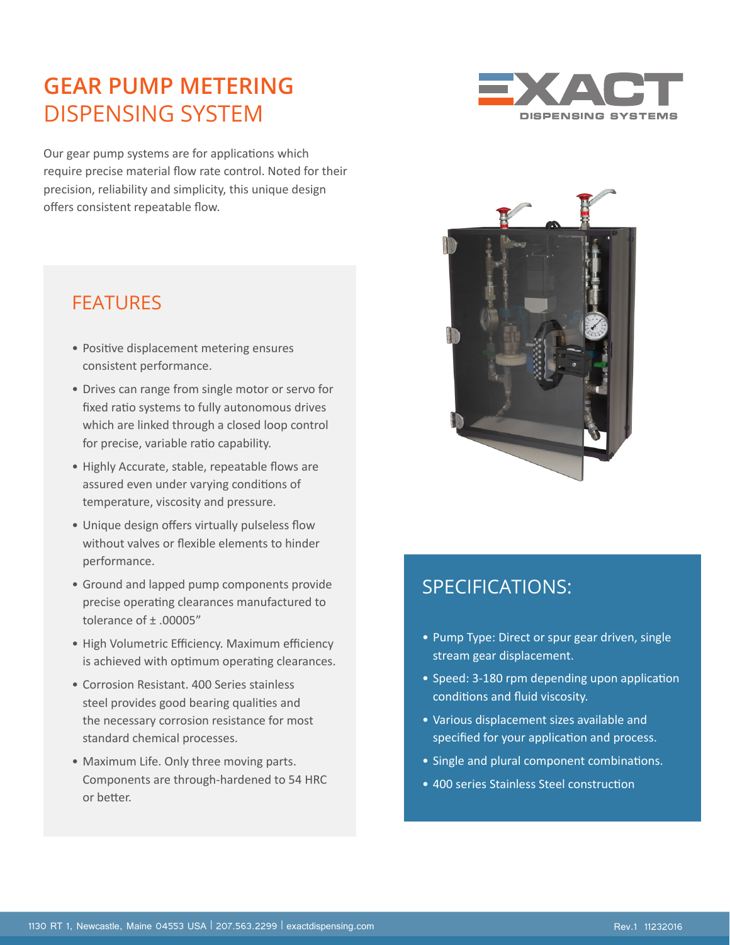## **GEAR PUMP METERING** DISPENSING SYSTEM

Our gear pump systems are for applications which require precise material flow rate control. Noted for their precision, reliability and simplicity, this unique design offers consistent repeatable flow.





- Positive displacement metering ensures consistent performance.
- Drives can range from single motor or servo for fixed ratio systems to fully autonomous drives which are linked through a closed loop control for precise, variable ratio capability.
- Highly Accurate, stable, repeatable flows are assured even under varying conditions of temperature, viscosity and pressure.
- Unique design offers virtually pulseless flow without valves or flexible elements to hinder performance.
- Ground and lapped pump components provide precise operating clearances manufactured to tolerance of ± .00005"
- High Volumetric Efficiency. Maximum efficiency is achieved with optimum operating clearances.
- Corrosion Resistant. 400 Series stainless steel provides good bearing qualities and the necessary corrosion resistance for most standard chemical processes.
- Maximum Life. Only three moving parts. Components are through-hardened to 54 HRC or better.



### SPECIFICATIONS:

- Pump Type: Direct or spur gear driven, single stream gear displacement.
- Speed: 3-180 rpm depending upon application conditions and fluid viscosity.
- Various displacement sizes available and specified for your application and process.
- Single and plural component combinations.
- 400 series Stainless Steel construction